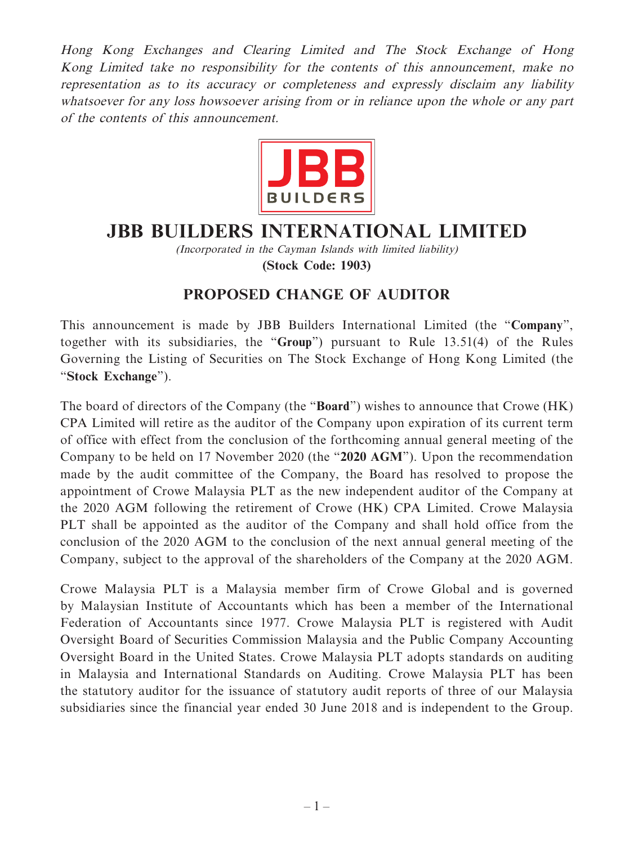Hong Kong Exchanges and Clearing Limited and The Stock Exchange of Hong Kong Limited take no responsibility for the contents of this announcement, make no representation as to its accuracy or completeness and expressly disclaim any liability whatsoever for any loss howsoever arising from or in reliance upon the whole or any part of the contents of this announcement.



## **JBB BUILDERS INTERNATIONAL LIMITED**

(Incorporated in the Cayman Islands with limited liability)

**(Stock Code: 1903)**

## **PROPOSED CHANGE OF AUDITOR**

This announcement is made by JBB Builders International Limited (the "**Company**", together with its subsidiaries, the "**Group**") pursuant to Rule 13.51(4) of the Rules Governing the Listing of Securities on The Stock Exchange of Hong Kong Limited (the "**Stock Exchange**").

The board of directors of the Company (the "**Board**") wishes to announce that Crowe (HK) CPA Limited will retire as the auditor of the Company upon expiration of its current term of office with effect from the conclusion of the forthcoming annual general meeting of the Company to be held on 17 November 2020 (the "**2020 AGM**"). Upon the recommendation made by the audit committee of the Company, the Board has resolved to propose the appointment of Crowe Malaysia PLT as the new independent auditor of the Company at the 2020 AGM following the retirement of Crowe (HK) CPA Limited. Crowe Malaysia PLT shall be appointed as the auditor of the Company and shall hold office from the conclusion of the 2020 AGM to the conclusion of the next annual general meeting of the Company, subject to the approval of the shareholders of the Company at the 2020 AGM.

Crowe Malaysia PLT is a Malaysia member firm of Crowe Global and is governed by Malaysian Institute of Accountants which has been a member of the International Federation of Accountants since 1977. Crowe Malaysia PLT is registered with Audit Oversight Board of Securities Commission Malaysia and the Public Company Accounting Oversight Board in the United States. Crowe Malaysia PLT adopts standards on auditing in Malaysia and International Standards on Auditing. Crowe Malaysia PLT has been the statutory auditor for the issuance of statutory audit reports of three of our Malaysia subsidiaries since the financial year ended 30 June 2018 and is independent to the Group.